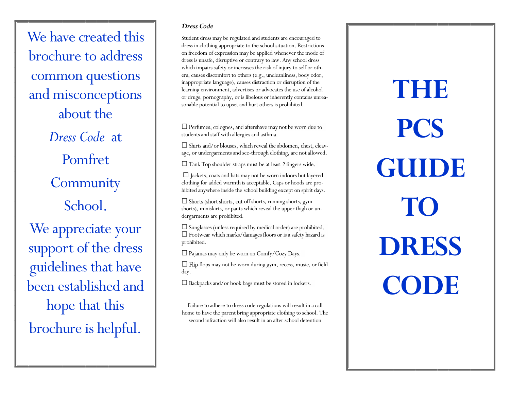We have created this brochure to address common questions and misconceptions about the *Dress Code* at Pomfret **Community** School. We appreciate your support of the dress guidelines that have been established and hope that this brochure is helpful.

### *Dress Code*

Student dress may be regulated and students are encouraged to dress in clothing appropriate to the school situation. Restrictions on freedom of expression may be applied whenever the mode of dress is unsafe, disruptive or contrary to law. Any school dress which impairs safety or increases the risk of injury to self or others, causes discomfort to others (e.g., uncleanliness, body odor, inappropriate language), causes distraction or disruption of the learning environment, advertises or advocates the use of alcohol or drugs, pornography, or is libelous or inherently contains unreasonable potential to upset and hurt others is prohibited.

 $\Box$  Perfumes, colognes, and aftershave may not be worn due to students and staff with allergies and asthma.

 $\Box$  Shirts and/or blouses, which reveal the abdomen, chest, cleavage, or undergarments and see-through clothing, are not allowed.

 $\Box$  Tank Top shoulder straps must be at least 2 fingers wide.

 $\Box$  Jackets, coats and hats may not be worn indoors but layered clothing for added warmth is acceptable. Caps or hoods are prohibited anywhere inside the school building except on spirit days.

 $\Box$  Shorts (short shorts, cut-off shorts, running shorts, gym shorts), miniskirts, or pants which reveal the upper thigh or undergarments are prohibited.

 $\Box$  Sunglasses (unless required by medical order) are prohibited.  $\Box$  Footwear which marks/damages floors or is a safety hazard is prohibited.

 $\Box$  Pajamas may only be worn on Comfy/Cozy Days.

 $\Box$  Flip-flops may not be worn during gym, recess, music, or field day.

 $\Box$  Backpacks and/or book bags must be stored in lockers.

Failure to adhere to dress code regulations will result in a call home to have the parent bring appropriate clothing to school. The second infraction will also result in an after school detention

**THE PCS GUIDE TO DRESS CODE**